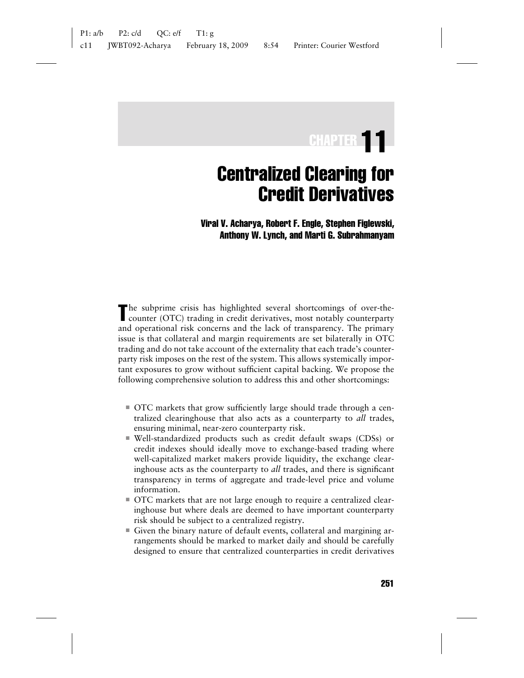# CHAPTER 1

## Centralized Clearing for Credit Derivatives

Viral V. Acharya, Robert F. Engle, Stephen Figlewski, Anthony W. Lynch, and Marti G. Subrahmanyam

The subprime crisis has highlighted several shortcomings of over-the-counter (OTC) trading in credit derivatives, most notably counterparty and operational risk concerns and the lack of transparency. The primary issue is that collateral and margin requirements are set bilaterally in OTC trading and do not take account of the externality that each trade's counterparty risk imposes on the rest of the system. This allows systemically important exposures to grow without sufficient capital backing. We propose the following comprehensive solution to address this and other shortcomings:

- OTC markets that grow sufficiently large should trade through a centralized clearinghouse that also acts as a counterparty to *all* trades, ensuring minimal, near-zero counterparty risk.
- Well-standardized products such as credit default swaps (CDSs) or credit indexes should ideally move to exchange-based trading where well-capitalized market makers provide liquidity, the exchange clearinghouse acts as the counterparty to *all* trades, and there is significant transparency in terms of aggregate and trade-level price and volume information.
- OTC markets that are not large enough to require a centralized clearinghouse but where deals are deemed to have important counterparty risk should be subject to a centralized registry.
- Given the binary nature of default events, collateral and margining arrangements should be marked to market daily and should be carefully designed to ensure that centralized counterparties in credit derivatives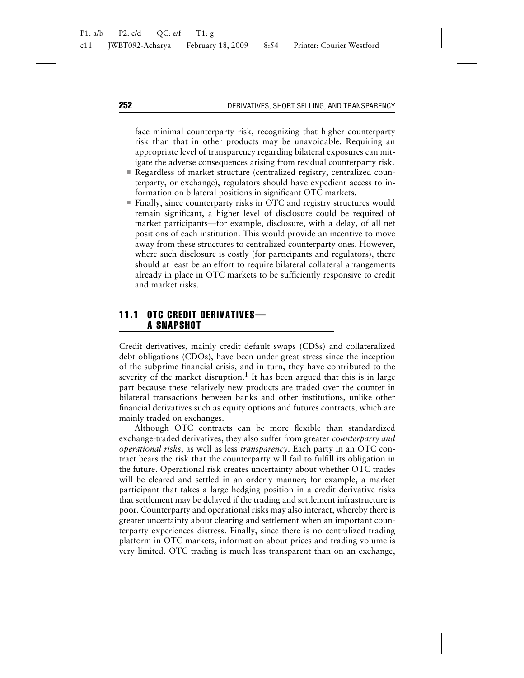face minimal counterparty risk, recognizing that higher counterparty risk than that in other products may be unavoidable. Requiring an appropriate level of transparency regarding bilateral exposures can mitigate the adverse consequences arising from residual counterparty risk.

- Regardless of market structure (centralized registry, centralized counterparty, or exchange), regulators should have expedient access to information on bilateral positions in significant OTC markets.
- $\blacksquare$  Finally, since counterparty risks in OTC and registry structures would remain significant, a higher level of disclosure could be required of market participants—for example, disclosure, with a delay, of all net positions of each institution. This would provide an incentive to move away from these structures to centralized counterparty ones. However, where such disclosure is costly (for participants and regulators), there should at least be an effort to require bilateral collateral arrangements already in place in OTC markets to be sufficiently responsive to credit and market risks.

#### 11.1 OTC CREDIT DERIVATIVES— A SNAPSHOT

Credit derivatives, mainly credit default swaps (CDSs) and collateralized debt obligations (CDOs), have been under great stress since the inception of the subprime financial crisis, and in turn, they have contributed to the severity of the market disruption.<sup>1</sup> It has been argued that this is in large part because these relatively new products are traded over the counter in bilateral transactions between banks and other institutions, unlike other financial derivatives such as equity options and futures contracts, which are mainly traded on exchanges.

Although OTC contracts can be more flexible than standardized exchange-traded derivatives, they also suffer from greater *counterparty and operational risks*, as well as less *transparency*. Each party in an OTC contract bears the risk that the counterparty will fail to fulfill its obligation in the future. Operational risk creates uncertainty about whether OTC trades will be cleared and settled in an orderly manner; for example, a market participant that takes a large hedging position in a credit derivative risks that settlement may be delayed if the trading and settlement infrastructure is poor. Counterparty and operational risks may also interact, whereby there is greater uncertainty about clearing and settlement when an important counterparty experiences distress. Finally, since there is no centralized trading platform in OTC markets, information about prices and trading volume is very limited. OTC trading is much less transparent than on an exchange,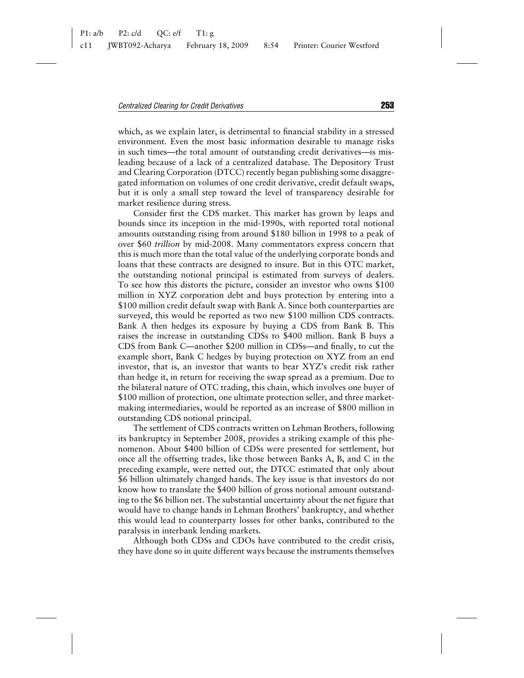which, as we explain later, is detrimental to financial stability in a stressed environment. Even the most basic information desirable to manage risks in such times—the total amount of outstanding credit derivatives—is misleading because of a lack of a centralized database. The Depository Trust and Clearing Corporation (DTCC) recently began publishing some disaggregated information on volumes of one credit derivative, credit default swaps, but it is only a small step toward the level of transparency desirable for market resilience during stress.

Consider first the CDS market. This market has grown by leaps and bounds since its inception in the mid-1990s, with reported total notional amounts outstanding rising from around \$180 billion in 1998 to a peak of over \$60 *trillion* by mid-2008. Many commentators express concern that this is much more than the total value of the underlying corporate bonds and loans that these contracts are designed to insure. But in this OTC market, the outstanding notional principal is estimated from surveys of dealers. To see how this distorts the picture, consider an investor who owns \$100 million in XYZ corporation debt and buys protection by entering into a \$100 million credit default swap with Bank A. Since both counterparties are surveyed, this would be reported as two new \$100 million CDS contracts. Bank A then hedges its exposure by buying a CDS from Bank B. This raises the increase in outstanding CDSs to \$400 million. Bank B buys a CDS from Bank C—another \$200 million in CDSs—and finally, to cut the example short, Bank C hedges by buying protection on XYZ from an end investor, that is, an investor that wants to bear XYZ's credit risk rather than hedge it, in return for receiving the swap spread as a premium. Due to the bilateral nature of OTC trading, this chain, which involves one buyer of \$100 million of protection, one ultimate protection seller, and three marketmaking intermediaries, would be reported as an increase of \$800 million in outstanding CDS notional principal.

The settlement of CDS contracts written on Lehman Brothers, following its bankruptcy in September 2008, provides a striking example of this phenomenon. About \$400 billion of CDSs were presented for settlement, but once all the offsetting trades, like those between Banks A, B, and C in the preceding example, were netted out, the DTCC estimated that only about \$6 billion ultimately changed hands. The key issue is that investors do not know how to translate the \$400 billion of gross notional amount outstanding to the \$6 billion net. The substantial uncertainty about the net figure that would have to change hands in Lehman Brothers' bankruptcy, and whether this would lead to counterparty losses for other banks, contributed to the paralysis in interbank lending markets.

Although both CDSs and CDOs have contributed to the credit crisis, they have done so in quite different ways because the instruments themselves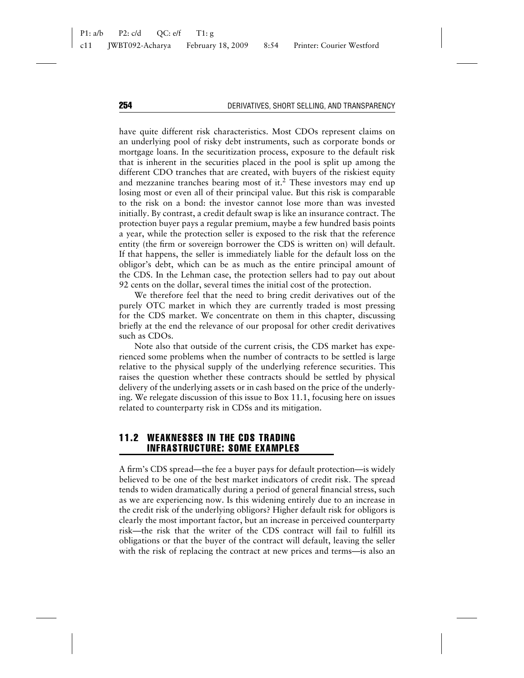have quite different risk characteristics. Most CDOs represent claims on an underlying pool of risky debt instruments, such as corporate bonds or mortgage loans. In the securitization process, exposure to the default risk that is inherent in the securities placed in the pool is split up among the different CDO tranches that are created, with buyers of the riskiest equity and mezzanine tranches bearing most of it.<sup>2</sup> These investors may end up losing most or even all of their principal value. But this risk is comparable to the risk on a bond: the investor cannot lose more than was invested initially. By contrast, a credit default swap is like an insurance contract. The protection buyer pays a regular premium, maybe a few hundred basis points a year, while the protection seller is exposed to the risk that the reference entity (the firm or sovereign borrower the CDS is written on) will default. If that happens, the seller is immediately liable for the default loss on the obligor's debt, which can be as much as the entire principal amount of the CDS. In the Lehman case, the protection sellers had to pay out about 92 cents on the dollar, several times the initial cost of the protection.

We therefore feel that the need to bring credit derivatives out of the purely OTC market in which they are currently traded is most pressing for the CDS market. We concentrate on them in this chapter, discussing briefly at the end the relevance of our proposal for other credit derivatives such as CDOs.

Note also that outside of the current crisis, the CDS market has experienced some problems when the number of contracts to be settled is large relative to the physical supply of the underlying reference securities. This raises the question whether these contracts should be settled by physical delivery of the underlying assets or in cash based on the price of the underlying. We relegate discussion of this issue to Box 11.1, focusing here on issues related to counterparty risk in CDSs and its mitigation.

#### 11.2 WEAKNESSES IN THE CDS TRADING INFRASTRUCTURE: SOME EXAMPLES

A firm's CDS spread—the fee a buyer pays for default protection—is widely believed to be one of the best market indicators of credit risk. The spread tends to widen dramatically during a period of general financial stress, such as we are experiencing now. Is this widening entirely due to an increase in the credit risk of the underlying obligors? Higher default risk for obligors is clearly the most important factor, but an increase in perceived counterparty risk—the risk that the writer of the CDS contract will fail to fulfill its obligations or that the buyer of the contract will default, leaving the seller with the risk of replacing the contract at new prices and terms—is also an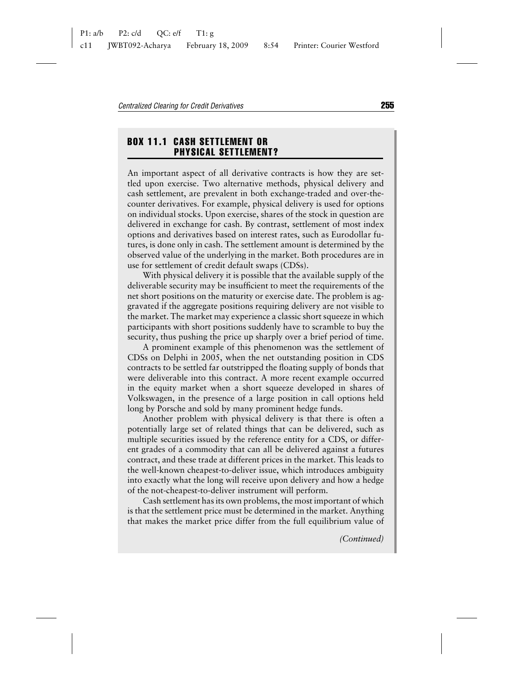#### BOX 11.1 CASH SETTLEMENT OR PHYSICAL SETTLEMENT?

An important aspect of all derivative contracts is how they are settled upon exercise. Two alternative methods, physical delivery and cash settlement, are prevalent in both exchange-traded and over-thecounter derivatives. For example, physical delivery is used for options on individual stocks. Upon exercise, shares of the stock in question are delivered in exchange for cash. By contrast, settlement of most index options and derivatives based on interest rates, such as Eurodollar futures, is done only in cash. The settlement amount is determined by the observed value of the underlying in the market. Both procedures are in use for settlement of credit default swaps (CDSs).

With physical delivery it is possible that the available supply of the deliverable security may be insufficient to meet the requirements of the net short positions on the maturity or exercise date. The problem is aggravated if the aggregate positions requiring delivery are not visible to the market. The market may experience a classic short squeeze in which participants with short positions suddenly have to scramble to buy the security, thus pushing the price up sharply over a brief period of time.

A prominent example of this phenomenon was the settlement of CDSs on Delphi in 2005, when the net outstanding position in CDS contracts to be settled far outstripped the floating supply of bonds that were deliverable into this contract. A more recent example occurred in the equity market when a short squeeze developed in shares of Volkswagen, in the presence of a large position in call options held long by Porsche and sold by many prominent hedge funds.

Another problem with physical delivery is that there is often a potentially large set of related things that can be delivered, such as multiple securities issued by the reference entity for a CDS, or different grades of a commodity that can all be delivered against a futures contract, and these trade at different prices in the market. This leads to the well-known cheapest-to-deliver issue, which introduces ambiguity into exactly what the long will receive upon delivery and how a hedge of the not-cheapest-to-deliver instrument will perform.

Cash settlement has its own problems, the most important of which is that the settlement price must be determined in the market. Anything that makes the market price differ from the full equilibrium value of

*(Continued)*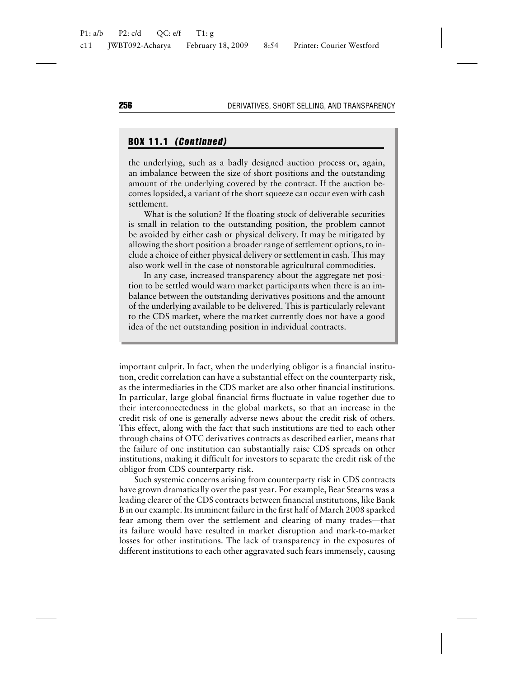## BOX 11.1 (Continued)

the underlying, such as a badly designed auction process or, again, an imbalance between the size of short positions and the outstanding amount of the underlying covered by the contract. If the auction becomes lopsided, a variant of the short squeeze can occur even with cash settlement.

What is the solution? If the floating stock of deliverable securities is small in relation to the outstanding position, the problem cannot be avoided by either cash or physical delivery. It may be mitigated by allowing the short position a broader range of settlement options, to include a choice of either physical delivery or settlement in cash. This may also work well in the case of nonstorable agricultural commodities.

In any case, increased transparency about the aggregate net position to be settled would warn market participants when there is an imbalance between the outstanding derivatives positions and the amount of the underlying available to be delivered. This is particularly relevant to the CDS market, where the market currently does not have a good idea of the net outstanding position in individual contracts.

important culprit. In fact, when the underlying obligor is a financial institution, credit correlation can have a substantial effect on the counterparty risk, as the intermediaries in the CDS market are also other financial institutions. In particular, large global financial firms fluctuate in value together due to their interconnectedness in the global markets, so that an increase in the credit risk of one is generally adverse news about the credit risk of others. This effect, along with the fact that such institutions are tied to each other through chains of OTC derivatives contracts as described earlier, means that the failure of one institution can substantially raise CDS spreads on other institutions, making it difficult for investors to separate the credit risk of the obligor from CDS counterparty risk.

Such systemic concerns arising from counterparty risk in CDS contracts have grown dramatically over the past year. For example, Bear Stearns was a leading clearer of the CDS contracts between financial institutions, like Bank B in our example. Its imminent failure in the first half of March 2008 sparked fear among them over the settlement and clearing of many trades—that its failure would have resulted in market disruption and mark-to-market losses for other institutions. The lack of transparency in the exposures of different institutions to each other aggravated such fears immensely, causing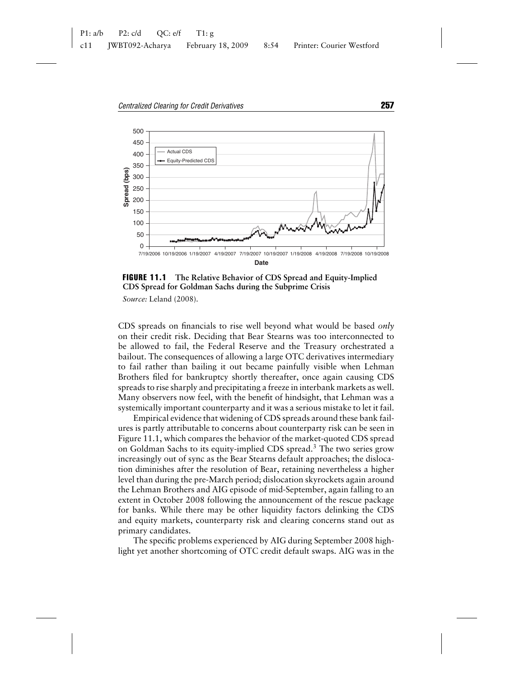

FIGURE 11.1 **The Relative Behavior of CDS Spread and Equity-Implied CDS Spread for Goldman Sachs during the Subprime Crisis** *Source:* Leland (2008).

CDS spreads on financials to rise well beyond what would be based *only* on their credit risk. Deciding that Bear Stearns was too interconnected to be allowed to fail, the Federal Reserve and the Treasury orchestrated a bailout. The consequences of allowing a large OTC derivatives intermediary to fail rather than bailing it out became painfully visible when Lehman Brothers filed for bankruptcy shortly thereafter, once again causing CDS spreads to rise sharply and precipitating a freeze in interbank markets as well. Many observers now feel, with the benefit of hindsight, that Lehman was a systemically important counterparty and it was a serious mistake to let it fail.

Empirical evidence that widening of CDS spreads around these bank failures is partly attributable to concerns about counterparty risk can be seen in Figure 11.1, which compares the behavior of the market-quoted CDS spread on Goldman Sachs to its equity-implied CDS spread.<sup>3</sup> The two series grow increasingly out of sync as the Bear Stearns default approaches; the dislocation diminishes after the resolution of Bear, retaining nevertheless a higher level than during the pre-March period; dislocation skyrockets again around the Lehman Brothers and AIG episode of mid-September, again falling to an extent in October 2008 following the announcement of the rescue package for banks. While there may be other liquidity factors delinking the CDS and equity markets, counterparty risk and clearing concerns stand out as primary candidates.

The specific problems experienced by AIG during September 2008 highlight yet another shortcoming of OTC credit default swaps. AIG was in the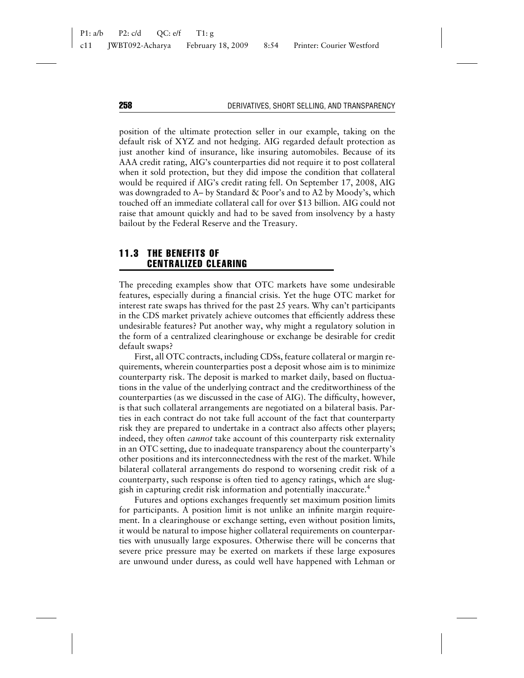position of the ultimate protection seller in our example, taking on the default risk of XYZ and not hedging. AIG regarded default protection as just another kind of insurance, like insuring automobiles. Because of its AAA credit rating, AIG's counterparties did not require it to post collateral when it sold protection, but they did impose the condition that collateral would be required if AIG's credit rating fell. On September 17, 2008, AIG was downgraded to A– by Standard & Poor's and to A2 by Moody's, which touched off an immediate collateral call for over \$13 billion. AIG could not raise that amount quickly and had to be saved from insolvency by a hasty bailout by the Federal Reserve and the Treasury.

#### 11.3 THE BENEFITS OF CENTRALIZED CLEARING

The preceding examples show that OTC markets have some undesirable features, especially during a financial crisis. Yet the huge OTC market for interest rate swaps has thrived for the past 25 years. Why can't participants in the CDS market privately achieve outcomes that efficiently address these undesirable features? Put another way, why might a regulatory solution in the form of a centralized clearinghouse or exchange be desirable for credit default swaps?

First, all OTC contracts, including CDSs, feature collateral or margin requirements, wherein counterparties post a deposit whose aim is to minimize counterparty risk. The deposit is marked to market daily, based on fluctuations in the value of the underlying contract and the creditworthiness of the counterparties (as we discussed in the case of AIG). The difficulty, however, is that such collateral arrangements are negotiated on a bilateral basis. Parties in each contract do not take full account of the fact that counterparty risk they are prepared to undertake in a contract also affects other players; indeed, they often *cannot* take account of this counterparty risk externality in an OTC setting, due to inadequate transparency about the counterparty's other positions and its interconnectedness with the rest of the market. While bilateral collateral arrangements do respond to worsening credit risk of a counterparty, such response is often tied to agency ratings, which are sluggish in capturing credit risk information and potentially inaccurate.<sup>4</sup>

Futures and options exchanges frequently set maximum position limits for participants. A position limit is not unlike an infinite margin requirement. In a clearinghouse or exchange setting, even without position limits, it would be natural to impose higher collateral requirements on counterparties with unusually large exposures. Otherwise there will be concerns that severe price pressure may be exerted on markets if these large exposures are unwound under duress, as could well have happened with Lehman or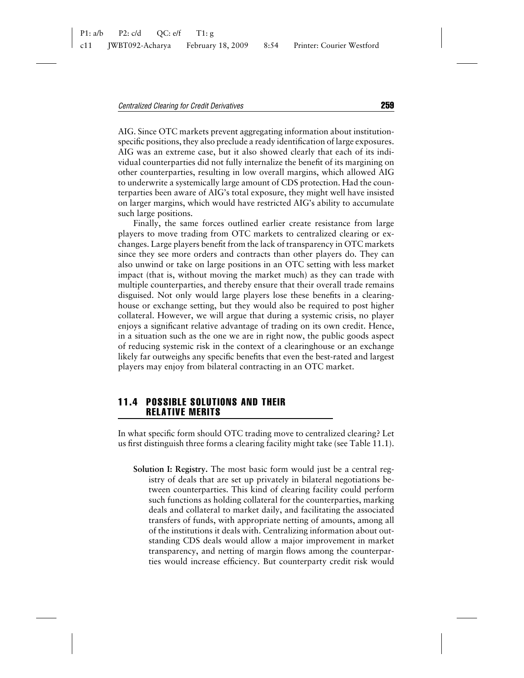AIG. Since OTC markets prevent aggregating information about institutionspecific positions, they also preclude a ready identification of large exposures. AIG was an extreme case, but it also showed clearly that each of its individual counterparties did not fully internalize the benefit of its margining on other counterparties, resulting in low overall margins, which allowed AIG to underwrite a systemically large amount of CDS protection. Had the counterparties been aware of AIG's total exposure, they might well have insisted on larger margins, which would have restricted AIG's ability to accumulate such large positions.

Finally, the same forces outlined earlier create resistance from large players to move trading from OTC markets to centralized clearing or exchanges. Large players benefit from the lack of transparency in OTC markets since they see more orders and contracts than other players do. They can also unwind or take on large positions in an OTC setting with less market impact (that is, without moving the market much) as they can trade with multiple counterparties, and thereby ensure that their overall trade remains disguised. Not only would large players lose these benefits in a clearinghouse or exchange setting, but they would also be required to post higher collateral. However, we will argue that during a systemic crisis, no player enjoys a significant relative advantage of trading on its own credit. Hence, in a situation such as the one we are in right now, the public goods aspect of reducing systemic risk in the context of a clearinghouse or an exchange likely far outweighs any specific benefits that even the best-rated and largest players may enjoy from bilateral contracting in an OTC market.

## 11.4 POSSIBLE SOLUTIONS AND THEIR RELATIVE MERITS

In what specific form should OTC trading move to centralized clearing? Let us first distinguish three forms a clearing facility might take (see Table 11.1).

**Solution I: Registry.** The most basic form would just be a central registry of deals that are set up privately in bilateral negotiations between counterparties. This kind of clearing facility could perform such functions as holding collateral for the counterparties, marking deals and collateral to market daily, and facilitating the associated transfers of funds, with appropriate netting of amounts, among all of the institutions it deals with. Centralizing information about outstanding CDS deals would allow a major improvement in market transparency, and netting of margin flows among the counterparties would increase efficiency. But counterparty credit risk would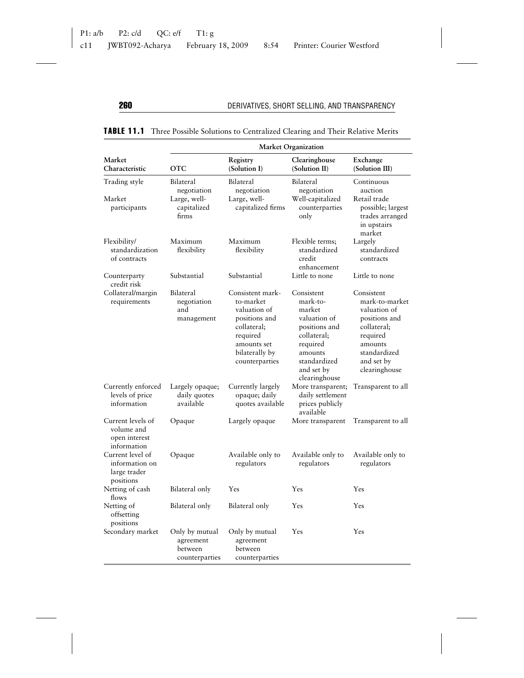TABLE 11.1 Three Possible Solutions to Centralized Clearing and Their Relative Merits

|                                                                 | Market Organization                                      |                                                                                                                                              |                                                                                                                                                        |                                                                                                                                                    |
|-----------------------------------------------------------------|----------------------------------------------------------|----------------------------------------------------------------------------------------------------------------------------------------------|--------------------------------------------------------------------------------------------------------------------------------------------------------|----------------------------------------------------------------------------------------------------------------------------------------------------|
| Market<br>Characteristic                                        | <b>OTC</b>                                               | Registry<br>(Solution I)                                                                                                                     | Clearinghouse<br>(Solution II)                                                                                                                         | Exchange<br>(Solution III)                                                                                                                         |
| Trading style                                                   | Bilateral<br>negotiation                                 | Bilateral<br>negotiation                                                                                                                     | Bilateral<br>negotiation                                                                                                                               | Continuous<br>auction                                                                                                                              |
| Market<br>participants                                          | Large, well-<br>capitalized<br>firms                     | Large, well-<br>capitalized firms                                                                                                            | Well-capitalized<br>counterparties<br>only                                                                                                             | Retail trade<br>possible; largest<br>trades arranged<br>in upstairs<br>market                                                                      |
| Flexibility/<br>standardization<br>of contracts                 | Maximum<br>flexibility                                   | Maximum<br>flexibility                                                                                                                       | Flexible terms;<br>standardized<br>credit<br>enhancement                                                                                               | Largely<br>standardized<br>contracts                                                                                                               |
| Counterparty<br>credit risk                                     | Substantial                                              | Substantial                                                                                                                                  | Little to none                                                                                                                                         | Little to none                                                                                                                                     |
| Collateral/margin<br>requirements                               | Bilateral<br>negotiation<br>and<br>management            | Consistent mark-<br>to-market<br>valuation of<br>positions and<br>collateral;<br>required<br>amounts set<br>bilaterally by<br>counterparties | Consistent<br>mark-to-<br>market<br>valuation of<br>positions and<br>collateral;<br>required<br>amounts<br>standardized<br>and set by<br>clearinghouse | Consistent<br>mark-to-market<br>valuation of<br>positions and<br>collateral;<br>required<br>amounts<br>standardized<br>and set by<br>clearinghouse |
| Currently enforced<br>levels of price<br>information            | Largely opaque;<br>daily quotes<br>available             | Currently largely<br>opaque; daily<br>quotes available                                                                                       | More transparent;<br>daily settlement<br>prices publicly<br>available                                                                                  | Transparent to all                                                                                                                                 |
| Current levels of<br>volume and<br>open interest<br>information | Opaque                                                   | Largely opaque                                                                                                                               | More transparent                                                                                                                                       | Transparent to all                                                                                                                                 |
| Current level of<br>information on<br>large trader<br>positions | Opaque                                                   | Available only to<br>regulators                                                                                                              | Available only to<br>regulators                                                                                                                        | Available only to<br>regulators                                                                                                                    |
| Netting of cash<br>flows                                        | Bilateral only                                           | Yes                                                                                                                                          | Yes                                                                                                                                                    | Yes                                                                                                                                                |
| Netting of<br>offsetting<br>positions                           | Bilateral only                                           | Bilateral only                                                                                                                               | Yes                                                                                                                                                    | Yes                                                                                                                                                |
| Secondary market                                                | Only by mutual<br>agreement<br>between<br>counterparties | Only by mutual<br>agreement<br>between<br>counterparties                                                                                     | Yes                                                                                                                                                    | Yes                                                                                                                                                |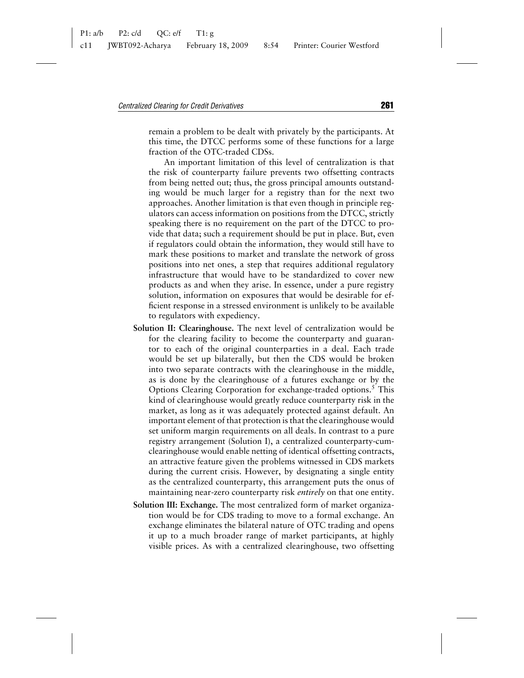remain a problem to be dealt with privately by the participants. At this time, the DTCC performs some of these functions for a large fraction of the OTC-traded CDSs.

An important limitation of this level of centralization is that the risk of counterparty failure prevents two offsetting contracts from being netted out; thus, the gross principal amounts outstanding would be much larger for a registry than for the next two approaches. Another limitation is that even though in principle regulators can access information on positions from the DTCC, strictly speaking there is no requirement on the part of the DTCC to provide that data; such a requirement should be put in place. But, even if regulators could obtain the information, they would still have to mark these positions to market and translate the network of gross positions into net ones, a step that requires additional regulatory infrastructure that would have to be standardized to cover new products as and when they arise. In essence, under a pure registry solution, information on exposures that would be desirable for efficient response in a stressed environment is unlikely to be available to regulators with expediency.

- **Solution II: Clearinghouse.** The next level of centralization would be for the clearing facility to become the counterparty and guarantor to each of the original counterparties in a deal. Each trade would be set up bilaterally, but then the CDS would be broken into two separate contracts with the clearinghouse in the middle, as is done by the clearinghouse of a futures exchange or by the Options Clearing Corporation for exchange-traded options.<sup>5</sup> This kind of clearinghouse would greatly reduce counterparty risk in the market, as long as it was adequately protected against default. An important element of that protection is that the clearinghouse would set uniform margin requirements on all deals. In contrast to a pure registry arrangement (Solution I), a centralized counterparty-cumclearinghouse would enable netting of identical offsetting contracts, an attractive feature given the problems witnessed in CDS markets during the current crisis. However, by designating a single entity as the centralized counterparty, this arrangement puts the onus of maintaining near-zero counterparty risk *entirely* on that one entity.
- **Solution III: Exchange.** The most centralized form of market organization would be for CDS trading to move to a formal exchange. An exchange eliminates the bilateral nature of OTC trading and opens it up to a much broader range of market participants, at highly visible prices. As with a centralized clearinghouse, two offsetting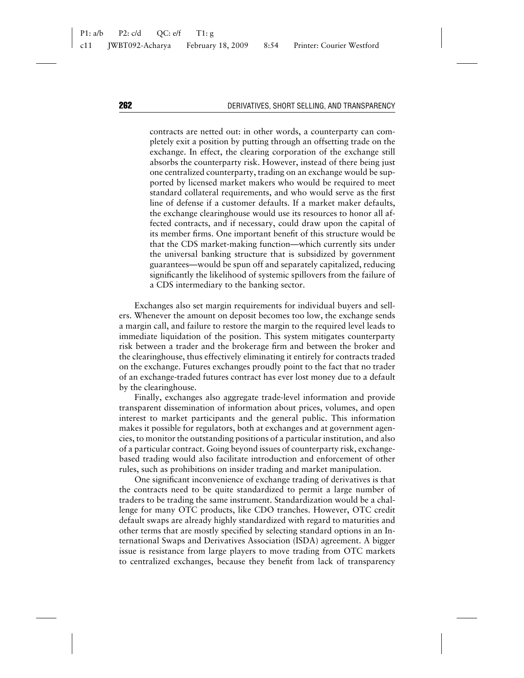contracts are netted out: in other words, a counterparty can completely exit a position by putting through an offsetting trade on the exchange. In effect, the clearing corporation of the exchange still absorbs the counterparty risk. However, instead of there being just one centralized counterparty, trading on an exchange would be supported by licensed market makers who would be required to meet standard collateral requirements, and who would serve as the first line of defense if a customer defaults. If a market maker defaults, the exchange clearinghouse would use its resources to honor all affected contracts, and if necessary, could draw upon the capital of its member firms. One important benefit of this structure would be that the CDS market-making function—which currently sits under the universal banking structure that is subsidized by government guarantees—would be spun off and separately capitalized, reducing significantly the likelihood of systemic spillovers from the failure of a CDS intermediary to the banking sector.

Exchanges also set margin requirements for individual buyers and sellers. Whenever the amount on deposit becomes too low, the exchange sends a margin call, and failure to restore the margin to the required level leads to immediate liquidation of the position. This system mitigates counterparty risk between a trader and the brokerage firm and between the broker and the clearinghouse, thus effectively eliminating it entirely for contracts traded on the exchange. Futures exchanges proudly point to the fact that no trader of an exchange-traded futures contract has ever lost money due to a default by the clearinghouse.

Finally, exchanges also aggregate trade-level information and provide transparent dissemination of information about prices, volumes, and open interest to market participants and the general public. This information makes it possible for regulators, both at exchanges and at government agencies, to monitor the outstanding positions of a particular institution, and also of a particular contract. Going beyond issues of counterparty risk, exchangebased trading would also facilitate introduction and enforcement of other rules, such as prohibitions on insider trading and market manipulation.

One significant inconvenience of exchange trading of derivatives is that the contracts need to be quite standardized to permit a large number of traders to be trading the same instrument. Standardization would be a challenge for many OTC products, like CDO tranches. However, OTC credit default swaps are already highly standardized with regard to maturities and other terms that are mostly specified by selecting standard options in an International Swaps and Derivatives Association (ISDA) agreement. A bigger issue is resistance from large players to move trading from OTC markets to centralized exchanges, because they benefit from lack of transparency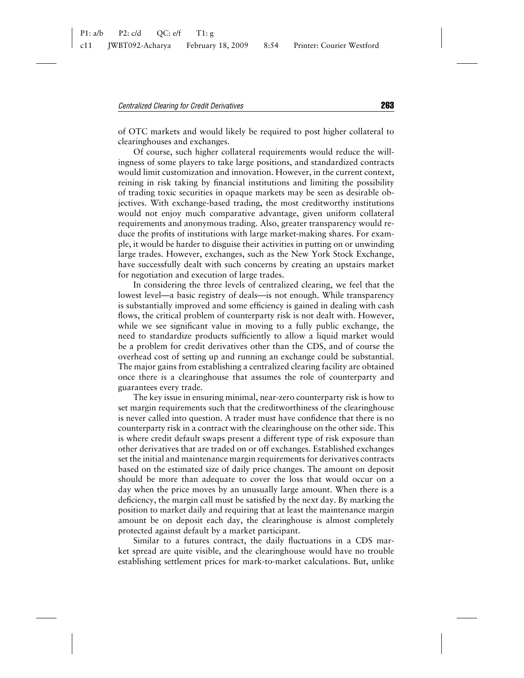of OTC markets and would likely be required to post higher collateral to clearinghouses and exchanges.

Of course, such higher collateral requirements would reduce the willingness of some players to take large positions, and standardized contracts would limit customization and innovation. However, in the current context, reining in risk taking by financial institutions and limiting the possibility of trading toxic securities in opaque markets may be seen as desirable objectives. With exchange-based trading, the most creditworthy institutions would not enjoy much comparative advantage, given uniform collateral requirements and anonymous trading. Also, greater transparency would reduce the profits of institutions with large market-making shares. For example, it would be harder to disguise their activities in putting on or unwinding large trades. However, exchanges, such as the New York Stock Exchange, have successfully dealt with such concerns by creating an upstairs market for negotiation and execution of large trades.

In considering the three levels of centralized clearing, we feel that the lowest level—a basic registry of deals—is not enough. While transparency is substantially improved and some efficiency is gained in dealing with cash flows, the critical problem of counterparty risk is not dealt with. However, while we see significant value in moving to a fully public exchange, the need to standardize products sufficiently to allow a liquid market would be a problem for credit derivatives other than the CDS, and of course the overhead cost of setting up and running an exchange could be substantial. The major gains from establishing a centralized clearing facility are obtained once there is a clearinghouse that assumes the role of counterparty and guarantees every trade.

The key issue in ensuring minimal, near-zero counterparty risk is how to set margin requirements such that the creditworthiness of the clearinghouse is never called into question. A trader must have confidence that there is no counterparty risk in a contract with the clearinghouse on the other side. This is where credit default swaps present a different type of risk exposure than other derivatives that are traded on or off exchanges. Established exchanges set the initial and maintenance margin requirements for derivatives contracts based on the estimated size of daily price changes. The amount on deposit should be more than adequate to cover the loss that would occur on a day when the price moves by an unusually large amount. When there is a deficiency, the margin call must be satisfied by the next day. By marking the position to market daily and requiring that at least the maintenance margin amount be on deposit each day, the clearinghouse is almost completely protected against default by a market participant.

Similar to a futures contract, the daily fluctuations in a CDS market spread are quite visible, and the clearinghouse would have no trouble establishing settlement prices for mark-to-market calculations. But, unlike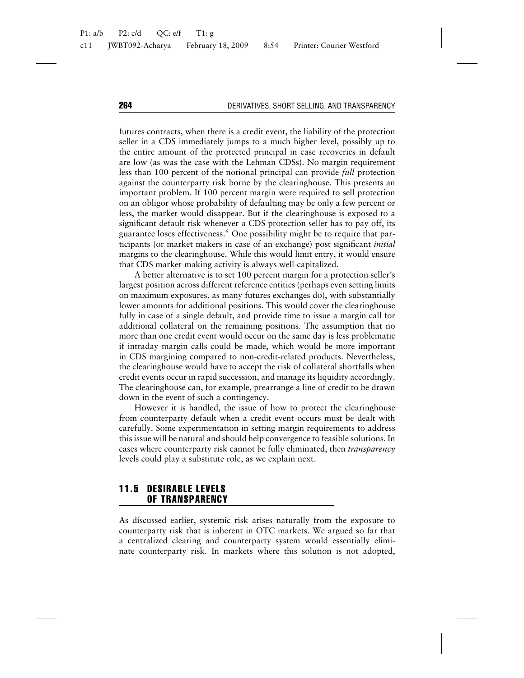futures contracts, when there is a credit event, the liability of the protection seller in a CDS immediately jumps to a much higher level, possibly up to the entire amount of the protected principal in case recoveries in default are low (as was the case with the Lehman CDSs). No margin requirement less than 100 percent of the notional principal can provide *full* protection against the counterparty risk borne by the clearinghouse. This presents an important problem. If 100 percent margin were required to sell protection on an obligor whose probability of defaulting may be only a few percent or less, the market would disappear. But if the clearinghouse is exposed to a significant default risk whenever a CDS protection seller has to pay off, its guarantee loses effectiveness.<sup>6</sup> One possibility might be to require that participants (or market makers in case of an exchange) post significant *initial* margins to the clearinghouse. While this would limit entry, it would ensure that CDS market-making activity is always well-capitalized.

A better alternative is to set 100 percent margin for a protection seller's largest position across different reference entities (perhaps even setting limits on maximum exposures, as many futures exchanges do), with substantially lower amounts for additional positions. This would cover the clearinghouse fully in case of a single default, and provide time to issue a margin call for additional collateral on the remaining positions. The assumption that no more than one credit event would occur on the same day is less problematic if intraday margin calls could be made, which would be more important in CDS margining compared to non-credit-related products. Nevertheless, the clearinghouse would have to accept the risk of collateral shortfalls when credit events occur in rapid succession, and manage its liquidity accordingly. The clearinghouse can, for example, prearrange a line of credit to be drawn down in the event of such a contingency.

However it is handled, the issue of how to protect the clearinghouse from counterparty default when a credit event occurs must be dealt with carefully. Some experimentation in setting margin requirements to address this issue will be natural and should help convergence to feasible solutions. In cases where counterparty risk cannot be fully eliminated, then *transparency* levels could play a substitute role, as we explain next.

### 11.5 DESIRABLE LEVELS OF TRANSPARENCY

As discussed earlier, systemic risk arises naturally from the exposure to counterparty risk that is inherent in OTC markets. We argued so far that a centralized clearing and counterparty system would essentially eliminate counterparty risk. In markets where this solution is not adopted,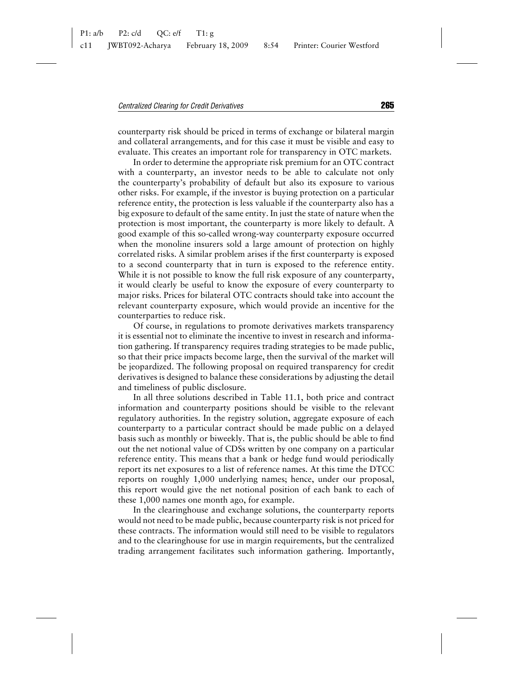counterparty risk should be priced in terms of exchange or bilateral margin and collateral arrangements, and for this case it must be visible and easy to evaluate. This creates an important role for transparency in OTC markets.

In order to determine the appropriate risk premium for an OTC contract with a counterparty, an investor needs to be able to calculate not only the counterparty's probability of default but also its exposure to various other risks. For example, if the investor is buying protection on a particular reference entity, the protection is less valuable if the counterparty also has a big exposure to default of the same entity. In just the state of nature when the protection is most important, the counterparty is more likely to default. A good example of this so-called wrong-way counterparty exposure occurred when the monoline insurers sold a large amount of protection on highly correlated risks. A similar problem arises if the first counterparty is exposed to a second counterparty that in turn is exposed to the reference entity. While it is not possible to know the full risk exposure of any counterparty, it would clearly be useful to know the exposure of every counterparty to major risks. Prices for bilateral OTC contracts should take into account the relevant counterparty exposure, which would provide an incentive for the counterparties to reduce risk.

Of course, in regulations to promote derivatives markets transparency it is essential not to eliminate the incentive to invest in research and information gathering. If transparency requires trading strategies to be made public, so that their price impacts become large, then the survival of the market will be jeopardized. The following proposal on required transparency for credit derivatives is designed to balance these considerations by adjusting the detail and timeliness of public disclosure.

In all three solutions described in Table 11.1, both price and contract information and counterparty positions should be visible to the relevant regulatory authorities. In the registry solution, aggregate exposure of each counterparty to a particular contract should be made public on a delayed basis such as monthly or biweekly. That is, the public should be able to find out the net notional value of CDSs written by one company on a particular reference entity. This means that a bank or hedge fund would periodically report its net exposures to a list of reference names. At this time the DTCC reports on roughly 1,000 underlying names; hence, under our proposal, this report would give the net notional position of each bank to each of these 1,000 names one month ago, for example.

In the clearinghouse and exchange solutions, the counterparty reports would not need to be made public, because counterparty risk is not priced for these contracts. The information would still need to be visible to regulators and to the clearinghouse for use in margin requirements, but the centralized trading arrangement facilitates such information gathering. Importantly,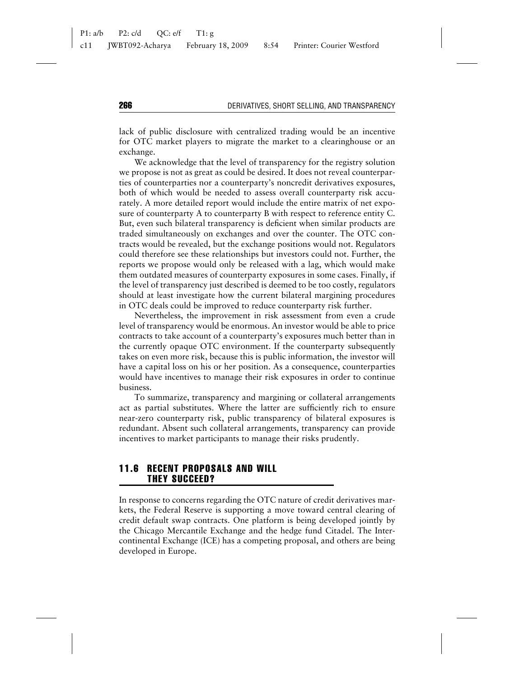lack of public disclosure with centralized trading would be an incentive for OTC market players to migrate the market to a clearinghouse or an exchange.

We acknowledge that the level of transparency for the registry solution we propose is not as great as could be desired. It does not reveal counterparties of counterparties nor a counterparty's noncredit derivatives exposures, both of which would be needed to assess overall counterparty risk accurately. A more detailed report would include the entire matrix of net exposure of counterparty A to counterparty B with respect to reference entity C. But, even such bilateral transparency is deficient when similar products are traded simultaneously on exchanges and over the counter. The OTC contracts would be revealed, but the exchange positions would not. Regulators could therefore see these relationships but investors could not. Further, the reports we propose would only be released with a lag, which would make them outdated measures of counterparty exposures in some cases. Finally, if the level of transparency just described is deemed to be too costly, regulators should at least investigate how the current bilateral margining procedures in OTC deals could be improved to reduce counterparty risk further.

Nevertheless, the improvement in risk assessment from even a crude level of transparency would be enormous. An investor would be able to price contracts to take account of a counterparty's exposures much better than in the currently opaque OTC environment. If the counterparty subsequently takes on even more risk, because this is public information, the investor will have a capital loss on his or her position. As a consequence, counterparties would have incentives to manage their risk exposures in order to continue business.

To summarize, transparency and margining or collateral arrangements act as partial substitutes. Where the latter are sufficiently rich to ensure near-zero counterparty risk, public transparency of bilateral exposures is redundant. Absent such collateral arrangements, transparency can provide incentives to market participants to manage their risks prudently.

#### 11.6 RECENT PROPOSALS AND WILL THEY SUCCEED?

In response to concerns regarding the OTC nature of credit derivatives markets, the Federal Reserve is supporting a move toward central clearing of credit default swap contracts. One platform is being developed jointly by the Chicago Mercantile Exchange and the hedge fund Citadel. The Intercontinental Exchange (ICE) has a competing proposal, and others are being developed in Europe.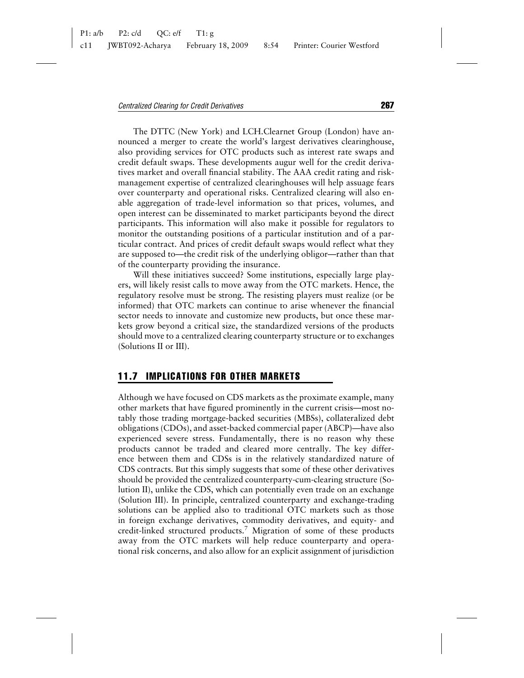The DTTC (New York) and LCH.Clearnet Group (London) have announced a merger to create the world's largest derivatives clearinghouse, also providing services for OTC products such as interest rate swaps and credit default swaps. These developments augur well for the credit derivatives market and overall financial stability. The AAA credit rating and riskmanagement expertise of centralized clearinghouses will help assuage fears over counterparty and operational risks. Centralized clearing will also enable aggregation of trade-level information so that prices, volumes, and open interest can be disseminated to market participants beyond the direct participants. This information will also make it possible for regulators to monitor the outstanding positions of a particular institution and of a particular contract. And prices of credit default swaps would reflect what they are supposed to—the credit risk of the underlying obligor—rather than that of the counterparty providing the insurance.

Will these initiatives succeed? Some institutions, especially large players, will likely resist calls to move away from the OTC markets. Hence, the regulatory resolve must be strong. The resisting players must realize (or be informed) that OTC markets can continue to arise whenever the financial sector needs to innovate and customize new products, but once these markets grow beyond a critical size, the standardized versions of the products should move to a centralized clearing counterparty structure or to exchanges (Solutions II or III).

#### 11.7 IMPLICATIONS FOR OTHER MARKETS

Although we have focused on CDS markets as the proximate example, many other markets that have figured prominently in the current crisis—most notably those trading mortgage-backed securities (MBSs), collateralized debt obligations (CDOs), and asset-backed commercial paper (ABCP)—have also experienced severe stress. Fundamentally, there is no reason why these products cannot be traded and cleared more centrally. The key difference between them and CDSs is in the relatively standardized nature of CDS contracts. But this simply suggests that some of these other derivatives should be provided the centralized counterparty-cum-clearing structure (Solution II), unlike the CDS, which can potentially even trade on an exchange (Solution III). In principle, centralized counterparty and exchange-trading solutions can be applied also to traditional OTC markets such as those in foreign exchange derivatives, commodity derivatives, and equity- and credit-linked structured products.<sup>7</sup> Migration of some of these products away from the OTC markets will help reduce counterparty and operational risk concerns, and also allow for an explicit assignment of jurisdiction